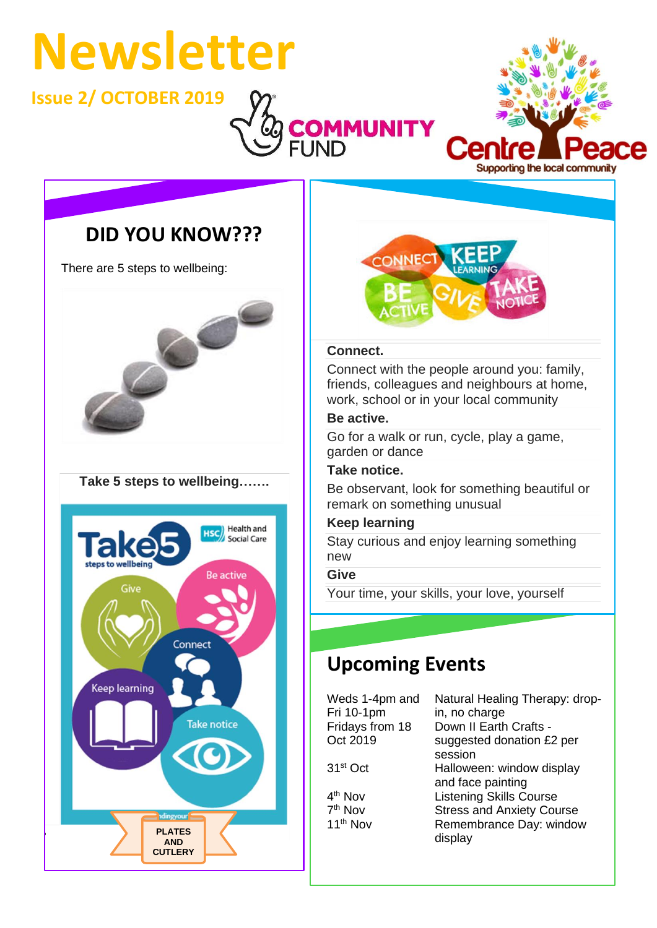# **Newsletter**

**Issue 2/ OCTOBER 2019**



## **DID YOU KNOW???**

There are 5 steps to wellbeing:



### **Take 5 steps to wellbeing…….**





### **Connect.**

Connect with the people around you: family, friends, colleagues and neighbours at home, work, school or in your local community

### **Be active.**

Go for a walk or run, cycle, play a game, garden or dance

#### **Take notice.**

Be observant, look for something beautiful or remark on something unusual

### **Keep learning**

Stay curious and enjoy learning something new

### **Give**

Your time, your skills, your love, yourself

## **Upcoming Events**

Weds 1-4pm and Fri 10-1pm Fridays from 18 Oct 2019

 $4<sup>th</sup>$  Nov 7<sup>th</sup> Nov

Natural Healing Therapy: dropin, no charge Down II Earth Crafts suggested donation £2 per session 31st Oct Halloween: window display and face painting Listening Skills Course Stress and Anxiety Course 11<sup>th</sup> Nov Remembrance Day: window display